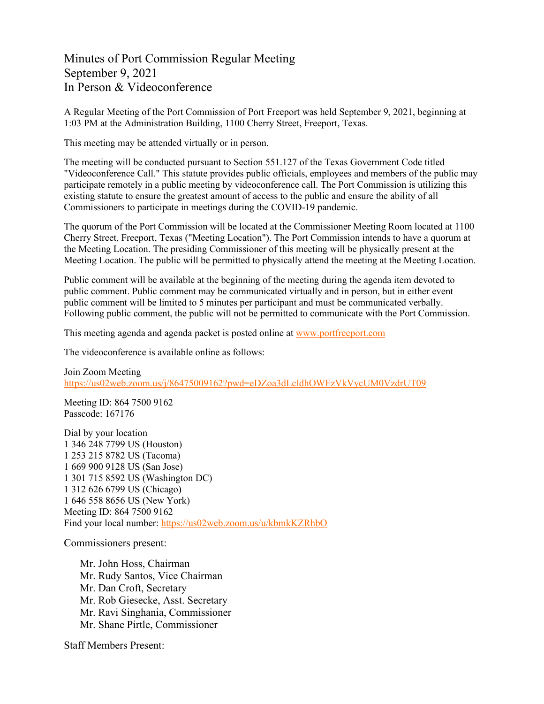## Minutes of Port Commission Regular Meeting September 9, 2021 In Person & Videoconference

A Regular Meeting of the Port Commission of Port Freeport was held September 9, 2021, beginning at 1:03 PM at the Administration Building, 1100 Cherry Street, Freeport, Texas.

This meeting may be attended virtually or in person.

The meeting will be conducted pursuant to Section 551.127 of the Texas Government Code titled "Videoconference Call." This statute provides public officials, employees and members of the public may participate remotely in a public meeting by videoconference call. The Port Commission is utilizing this existing statute to ensure the greatest amount of access to the public and ensure the ability of all Commissioners to participate in meetings during the COVID-19 pandemic.

The quorum of the Port Commission will be located at the Commissioner Meeting Room located at 1100 Cherry Street, Freeport, Texas ("Meeting Location"). The Port Commission intends to have a quorum at the Meeting Location. The presiding Commissioner of this meeting will be physically present at the Meeting Location. The public will be permitted to physically attend the meeting at the Meeting Location.

Public comment will be available at the beginning of the meeting during the agenda item devoted to public comment. Public comment may be communicated virtually and in person, but in either event public comment will be limited to 5 minutes per participant and must be communicated verbally. Following public comment, the public will not be permitted to communicate with the Port Commission.

This meeting agenda and agenda packet is posted online at [www.portfreeport.com](http://www.portfreeport.com/)

The videoconference is available online as follows:

Join Zoom Meeting <https://us02web.zoom.us/j/86475009162?pwd=eDZoa3dLcldhOWFzVkVycUM0VzdrUT09>

Meeting ID: 864 7500 9162 Passcode: 167176

Dial by your location 1 346 248 7799 US (Houston) 1 253 215 8782 US (Tacoma) 1 669 900 9128 US (San Jose) 1 301 715 8592 US (Washington DC) 1 312 626 6799 US (Chicago) 1 646 558 8656 US (New York) Meeting ID: 864 7500 9162 Find your local number:<https://us02web.zoom.us/u/kbmkKZRhbO>

Commissioners present:

Mr. John Hoss, Chairman Mr. Rudy Santos, Vice Chairman Mr. Dan Croft, Secretary Mr. Rob Giesecke, Asst. Secretary Mr. Ravi Singhania, Commissioner Mr. Shane Pirtle, Commissioner

Staff Members Present: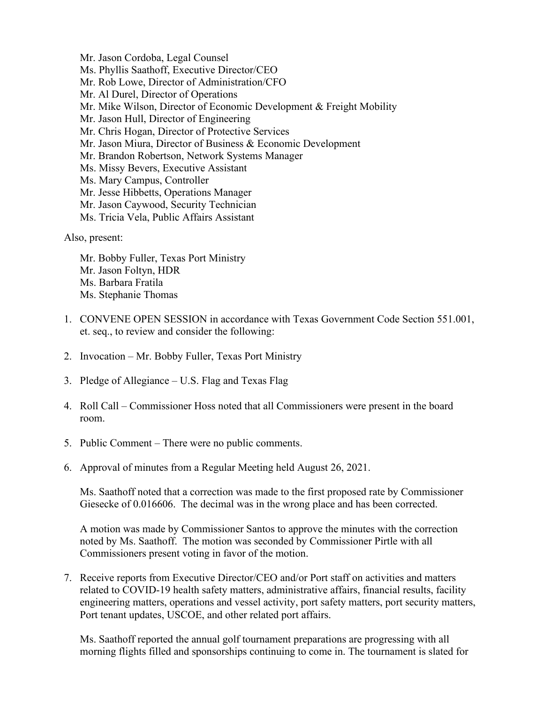Mr. Jason Cordoba, Legal Counsel Ms. Phyllis Saathoff, Executive Director/CEO Mr. Rob Lowe, Director of Administration/CFO Mr. Al Durel, Director of Operations Mr. Mike Wilson, Director of Economic Development & Freight Mobility Mr. Jason Hull, Director of Engineering Mr. Chris Hogan, Director of Protective Services Mr. Jason Miura, Director of Business & Economic Development Mr. Brandon Robertson, Network Systems Manager Ms. Missy Bevers, Executive Assistant Ms. Mary Campus, Controller Mr. Jesse Hibbetts, Operations Manager Mr. Jason Caywood, Security Technician Ms. Tricia Vela, Public Affairs Assistant

Also, present:

Mr. Bobby Fuller, Texas Port Ministry Mr. Jason Foltyn, HDR Ms. Barbara Fratila Ms. Stephanie Thomas

- 1. CONVENE OPEN SESSION in accordance with Texas Government Code Section 551.001, et. seq., to review and consider the following:
- 2. Invocation Mr. Bobby Fuller, Texas Port Ministry
- 3. Pledge of Allegiance U.S. Flag and Texas Flag
- 4. Roll Call Commissioner Hoss noted that all Commissioners were present in the board room.
- 5. Public Comment There were no public comments.
- 6. Approval of minutes from a Regular Meeting held August 26, 2021.

Ms. Saathoff noted that a correction was made to the first proposed rate by Commissioner Giesecke of 0.016606. The decimal was in the wrong place and has been corrected.

A motion was made by Commissioner Santos to approve the minutes with the correction noted by Ms. Saathoff. The motion was seconded by Commissioner Pirtle with all Commissioners present voting in favor of the motion.

7. Receive reports from Executive Director/CEO and/or Port staff on activities and matters related to COVID-19 health safety matters, administrative affairs, financial results, facility engineering matters, operations and vessel activity, port safety matters, port security matters, Port tenant updates, USCOE, and other related port affairs.

Ms. Saathoff reported the annual golf tournament preparations are progressing with all morning flights filled and sponsorships continuing to come in. The tournament is slated for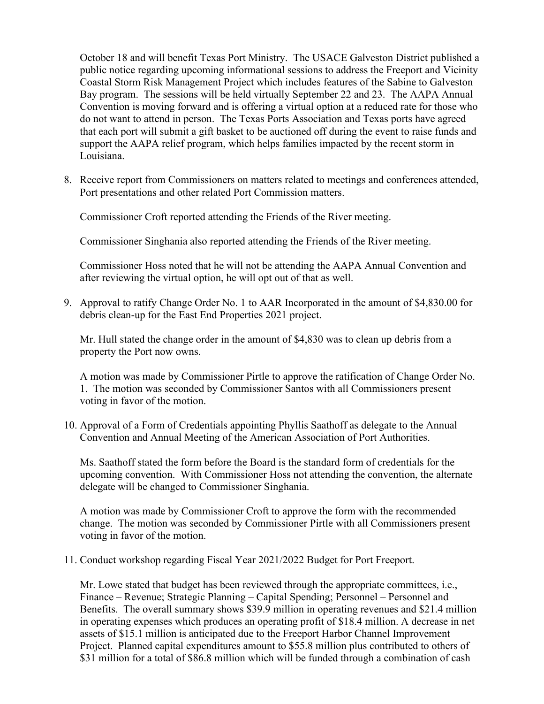October 18 and will benefit Texas Port Ministry. The USACE Galveston District published a public notice regarding upcoming informational sessions to address the Freeport and Vicinity Coastal Storm Risk Management Project which includes features of the Sabine to Galveston Bay program. The sessions will be held virtually September 22 and 23. The AAPA Annual Convention is moving forward and is offering a virtual option at a reduced rate for those who do not want to attend in person. The Texas Ports Association and Texas ports have agreed that each port will submit a gift basket to be auctioned off during the event to raise funds and support the AAPA relief program, which helps families impacted by the recent storm in Louisiana.

8. Receive report from Commissioners on matters related to meetings and conferences attended, Port presentations and other related Port Commission matters.

Commissioner Croft reported attending the Friends of the River meeting.

Commissioner Singhania also reported attending the Friends of the River meeting.

Commissioner Hoss noted that he will not be attending the AAPA Annual Convention and after reviewing the virtual option, he will opt out of that as well.

9. Approval to ratify Change Order No. 1 to AAR Incorporated in the amount of \$4,830.00 for debris clean-up for the East End Properties 2021 project.

Mr. Hull stated the change order in the amount of \$4,830 was to clean up debris from a property the Port now owns.

A motion was made by Commissioner Pirtle to approve the ratification of Change Order No. 1. The motion was seconded by Commissioner Santos with all Commissioners present voting in favor of the motion.

10. Approval of a Form of Credentials appointing Phyllis Saathoff as delegate to the Annual Convention and Annual Meeting of the American Association of Port Authorities.

Ms. Saathoff stated the form before the Board is the standard form of credentials for the upcoming convention. With Commissioner Hoss not attending the convention, the alternate delegate will be changed to Commissioner Singhania.

A motion was made by Commissioner Croft to approve the form with the recommended change. The motion was seconded by Commissioner Pirtle with all Commissioners present voting in favor of the motion.

11. Conduct workshop regarding Fiscal Year 2021/2022 Budget for Port Freeport.

Mr. Lowe stated that budget has been reviewed through the appropriate committees, i.e., Finance – Revenue; Strategic Planning – Capital Spending; Personnel – Personnel and Benefits. The overall summary shows \$39.9 million in operating revenues and \$21.4 million in operating expenses which produces an operating profit of \$18.4 million. A decrease in net assets of \$15.1 million is anticipated due to the Freeport Harbor Channel Improvement Project. Planned capital expenditures amount to \$55.8 million plus contributed to others of \$31 million for a total of \$86.8 million which will be funded through a combination of cash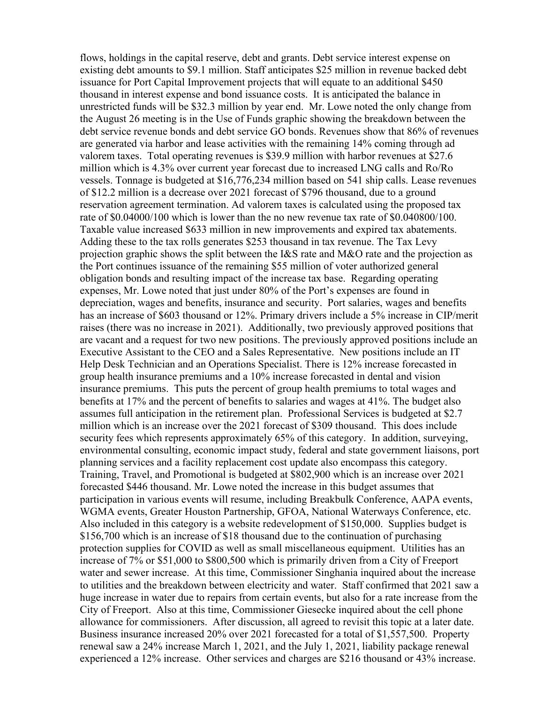flows, holdings in the capital reserve, debt and grants. Debt service interest expense on existing debt amounts to \$9.1 million. Staff anticipates \$25 million in revenue backed debt issuance for Port Capital Improvement projects that will equate to an additional \$450 thousand in interest expense and bond issuance costs. It is anticipated the balance in unrestricted funds will be \$32.3 million by year end. Mr. Lowe noted the only change from the August 26 meeting is in the Use of Funds graphic showing the breakdown between the debt service revenue bonds and debt service GO bonds. Revenues show that 86% of revenues are generated via harbor and lease activities with the remaining 14% coming through ad valorem taxes. Total operating revenues is \$39.9 million with harbor revenues at \$27.6 million which is 4.3% over current year forecast due to increased LNG calls and Ro/Ro vessels. Tonnage is budgeted at \$16,776,234 million based on 541 ship calls. Lease revenues of \$12.2 million is a decrease over 2021 forecast of \$796 thousand, due to a ground reservation agreement termination. Ad valorem taxes is calculated using the proposed tax rate of \$0.04000/100 which is lower than the no new revenue tax rate of \$0.040800/100. Taxable value increased \$633 million in new improvements and expired tax abatements. Adding these to the tax rolls generates \$253 thousand in tax revenue. The Tax Levy projection graphic shows the split between the I&S rate and M&O rate and the projection as the Port continues issuance of the remaining \$55 million of voter authorized general obligation bonds and resulting impact of the increase tax base. Regarding operating expenses, Mr. Lowe noted that just under 80% of the Port's expenses are found in depreciation, wages and benefits, insurance and security. Port salaries, wages and benefits has an increase of \$603 thousand or 12%. Primary drivers include a 5% increase in CIP/merit raises (there was no increase in 2021). Additionally, two previously approved positions that are vacant and a request for two new positions. The previously approved positions include an Executive Assistant to the CEO and a Sales Representative. New positions include an IT Help Desk Technician and an Operations Specialist. There is 12% increase forecasted in group health insurance premiums and a 10% increase forecasted in dental and vision insurance premiums. This puts the percent of group health premiums to total wages and benefits at 17% and the percent of benefits to salaries and wages at 41%. The budget also assumes full anticipation in the retirement plan. Professional Services is budgeted at \$2.7 million which is an increase over the 2021 forecast of \$309 thousand. This does include security fees which represents approximately 65% of this category. In addition, surveying, environmental consulting, economic impact study, federal and state government liaisons, port planning services and a facility replacement cost update also encompass this category. Training, Travel, and Promotional is budgeted at \$802,900 which is an increase over 2021 forecasted \$446 thousand. Mr. Lowe noted the increase in this budget assumes that participation in various events will resume, including Breakbulk Conference, AAPA events, WGMA events, Greater Houston Partnership, GFOA, National Waterways Conference, etc. Also included in this category is a website redevelopment of \$150,000. Supplies budget is \$156,700 which is an increase of \$18 thousand due to the continuation of purchasing protection supplies for COVID as well as small miscellaneous equipment. Utilities has an increase of 7% or \$51,000 to \$800,500 which is primarily driven from a City of Freeport water and sewer increase. At this time, Commissioner Singhania inquired about the increase to utilities and the breakdown between electricity and water. Staff confirmed that 2021 saw a huge increase in water due to repairs from certain events, but also for a rate increase from the City of Freeport. Also at this time, Commissioner Giesecke inquired about the cell phone allowance for commissioners. After discussion, all agreed to revisit this topic at a later date. Business insurance increased 20% over 2021 forecasted for a total of \$1,557,500. Property renewal saw a 24% increase March 1, 2021, and the July 1, 2021, liability package renewal experienced a 12% increase. Other services and charges are \$216 thousand or 43% increase.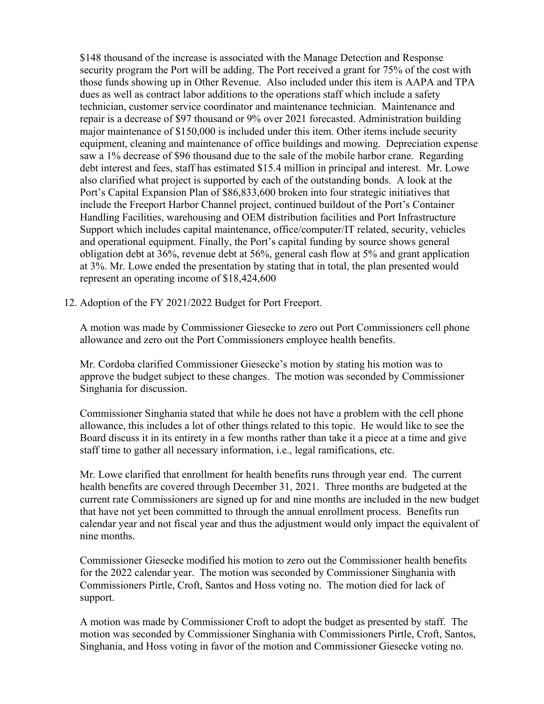\$148 thousand of the increase is associated with the Manage Detection and Response security program the Port will be adding. The Port received a grant for 75% of the cost with those funds showing up in Other Revenue. Also included under this item is AAPA and TPA dues as well as contract labor additions to the operations staff which include a safety technician, customer service coordinator and maintenance technician. Maintenance and repair is a decrease of \$97 thousand or 9% over 2021 forecasted. Administration building major maintenance of \$150,000 is included under this item. Other items include security equipment, cleaning and maintenance of office buildings and mowing. Depreciation expense saw a 1% decrease of \$96 thousand due to the sale of the mobile harbor crane. Regarding debt interest and fees, staff has estimated \$15.4 million in principal and interest. Mr. Lowe also clarified what project is supported by each of the outstanding bonds. A look at the Port's Capital Expansion Plan of \$86,833,600 broken into four strategic initiatives that include the Freeport Harbor Channel project, continued buildout of the Port's Container Handling Facilities, warehousing and OEM distribution facilities and Port Infrastructure Support which includes capital maintenance, office/computer/IT related, security, vehicles and operational equipment. Finally, the Port's capital funding by source shows general obligation debt at 36%, revenue debt at 56%, general cash flow at 5% and grant application at 3%. Mr. Lowe ended the presentation by stating that in total, the plan presented would represent an operating income of \$18,424,600

12. Adoption of the FY 2021/2022 Budget for Port Freeport.

A motion was made by Commissioner Giesecke to zero out Port Commissioners cell phone allowance and zero out the Port Commissioners employee health benefits.

Mr. Cordoba clarified Commissioner Giesecke's motion by stating his motion was to approve the budget subject to these changes. The motion was seconded by Commissioner Singhania for discussion.

Commissioner Singhania stated that while he does not have a problem with the cell phone allowance, this includes a lot of other things related to this topic. He would like to see the Board discuss it in its entirety in a few months rather than take it a piece at a time and give staff time to gather all necessary information, i.e., legal ramifications, etc.

Mr. Lowe clarified that enrollment for health benefits runs through year end. The current health benefits are covered through December 31, 2021. Three months are budgeted at the current rate Commissioners are signed up for and nine months are included in the new budget that have not yet been committed to through the annual enrollment process. Benefits run calendar year and not fiscal year and thus the adjustment would only impact the equivalent of nine months.

Commissioner Giesecke modified his motion to zero out the Commissioner health benefits for the 2022 calendar year. The motion was seconded by Commissioner Singhania with Commissioners Pirtle, Croft, Santos and Hoss voting no. The motion died for lack of support.

A motion was made by Commissioner Croft to adopt the budget as presented by staff. The motion was seconded by Commissioner Singhania with Commissioners Pirtle, Croft, Santos, Singhania, and Hoss voting in favor of the motion and Commissioner Giesecke voting no.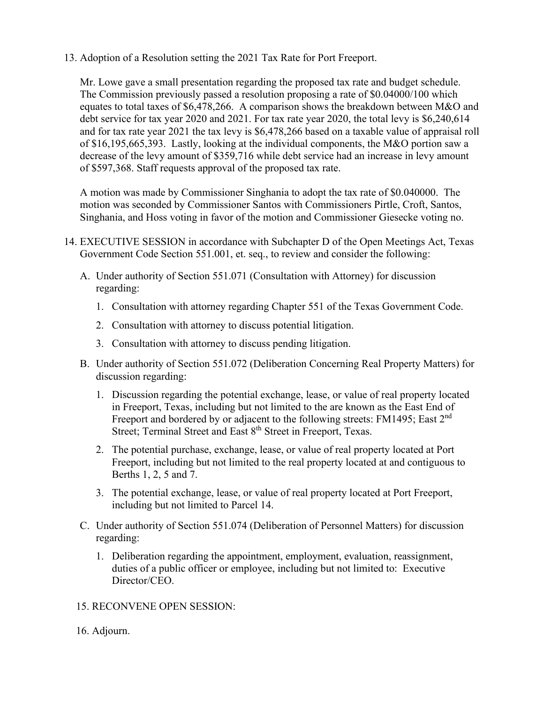13. Adoption of a Resolution setting the 2021 Tax Rate for Port Freeport.

Mr. Lowe gave a small presentation regarding the proposed tax rate and budget schedule. The Commission previously passed a resolution proposing a rate of \$0.04000/100 which equates to total taxes of \$6,478,266. A comparison shows the breakdown between M&O and debt service for tax year 2020 and 2021. For tax rate year 2020, the total levy is \$6,240,614 and for tax rate year 2021 the tax levy is \$6,478,266 based on a taxable value of appraisal roll of \$16,195,665,393. Lastly, looking at the individual components, the M&O portion saw a decrease of the levy amount of \$359,716 while debt service had an increase in levy amount of \$597,368. Staff requests approval of the proposed tax rate.

A motion was made by Commissioner Singhania to adopt the tax rate of \$0.040000. The motion was seconded by Commissioner Santos with Commissioners Pirtle, Croft, Santos, Singhania, and Hoss voting in favor of the motion and Commissioner Giesecke voting no.

- 14. EXECUTIVE SESSION in accordance with Subchapter D of the Open Meetings Act, Texas Government Code Section 551.001, et. seq., to review and consider the following:
	- A. Under authority of Section 551.071 (Consultation with Attorney) for discussion regarding:
		- 1. Consultation with attorney regarding Chapter 551 of the Texas Government Code.
		- 2. Consultation with attorney to discuss potential litigation.
		- 3. Consultation with attorney to discuss pending litigation.
	- B. Under authority of Section 551.072 (Deliberation Concerning Real Property Matters) for discussion regarding:
		- 1. Discussion regarding the potential exchange, lease, or value of real property located in Freeport, Texas, including but not limited to the are known as the East End of Freeport and bordered by or adjacent to the following streets: FM1495; East 2<sup>nd</sup> Street; Terminal Street and East 8<sup>th</sup> Street in Freeport, Texas.
		- 2. The potential purchase, exchange, lease, or value of real property located at Port Freeport, including but not limited to the real property located at and contiguous to Berths 1, 2, 5 and 7.
		- 3. The potential exchange, lease, or value of real property located at Port Freeport, including but not limited to Parcel 14.
	- C. Under authority of Section 551.074 (Deliberation of Personnel Matters) for discussion regarding:
		- 1. Deliberation regarding the appointment, employment, evaluation, reassignment, duties of a public officer or employee, including but not limited to: Executive Director/CEO.

## 15. RECONVENE OPEN SESSION:

16. Adjourn.